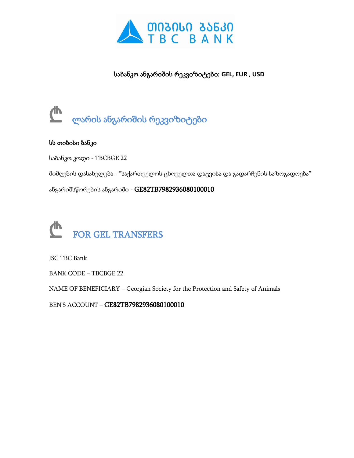

საბანკო ანგარიშის რეკვიზიტები: **GEL, EUR** , **USD**



## სს თიბისი ბანკი

საბანკო კოდი - TBCBGE 22

მიმღების დასახელება - "საქართველოს ცხოველთა დაცვისა და გადარჩენის საზოგადოება"

ანგარიშსწორების ანგარიში - GE82TB7982936080100010



JSC TBC Bank

BANK CODE – TBCBGE 22

NAME OF BENEFICIARY – Georgian Society for the Protection and Safety of Animals

BEN'S ACCOUNT – GE82TB7982936080100010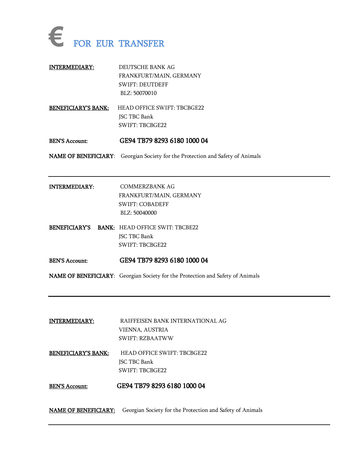

| <b>INTERMEDIARY:</b>       | DEUTSCHE BANK AG<br>FRANKFURT/MAIN, GERMANY<br><b>SWIFT: DEUTDEFF</b><br>BLZ: 50070010 |
|----------------------------|----------------------------------------------------------------------------------------|
| <b>BENEFICIARY'S BANK:</b> | HEAD OFFICE SWIFT: TBCBGE22                                                            |
|                            | JSC TBC Bank                                                                           |
|                            | <b>SWIFT: TBCBGE22</b>                                                                 |
| <b>BEN'S Account:</b>      | GE94 TB79 8293 6180 1000 04                                                            |
|                            | NAME OF BENEFICIARY: Georgian Society for the Protection and Safety of Animals         |
|                            |                                                                                        |
|                            |                                                                                        |
| <b>INTERMEDIARY:</b>       | <b>COMMERZBANK AG</b>                                                                  |
|                            | FRANKFURT/MAIN, GERMANY                                                                |
|                            | <b>SWIFT: COBADEFF</b>                                                                 |
|                            | BLZ: 50040000                                                                          |
|                            | <b>BENEFICIARY'S BANK: HEAD OFFICE SWIT: TBCBE22</b>                                   |
|                            | JSC TBC Bank                                                                           |
|                            | <b>SWIFT: TBCBGE22</b>                                                                 |
| <b>BEN'S Account:</b>      | GE94 TB79 8293 6180 1000 04                                                            |

| <b>INTERMEDIARY:</b>       | RAIFFEISEN BANK INTERNATIONAL AG |
|----------------------------|----------------------------------|
|                            | VIENNA, AUSTRIA                  |
|                            | <b>SWIFT: RZBAATWW</b>           |
| <b>BENEFICIARY'S BANK:</b> | HEAD OFFICE SWIFT: TBCBGE22      |
|                            | $\frac{1}{2}$                    |

JSC TBC Bank SWIFT: TBCBGE22

BEN'S Account: GE94 TB79 8293 6180 1000 04

NAME OF BENEFICIARY: Georgian Society for the Protection and Safety of Animals